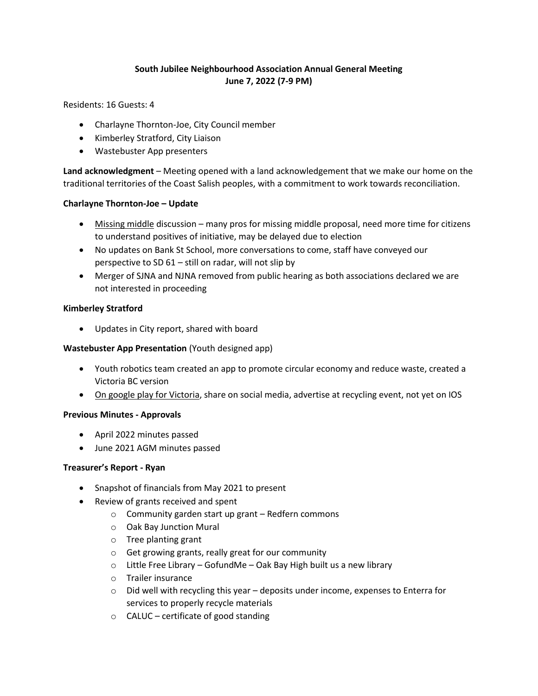# **South Jubilee Neighbourhood Association Annual General Meeting June 7, 2022 (7-9 PM)**

Residents: 16 Guests: 4

- Charlayne Thornton-Joe, City Council member
- Kimberley Stratford, City Liaison
- Wastebuster App presenters

**Land acknowledgment** – Meeting opened with a land acknowledgement that we make our home on the traditional territories of the Coast Salish peoples, with a commitment to work towards reconciliation.

#### **Charlayne Thornton-Joe – Update**

- [Missing middle](https://www.victoria.ca/EN/main/news-events/news/news-archives/2022-archive/two-important-housing-initiatives-coming-to-council.html) discussion many pros for missing middle proposal, need more time for citizens to understand positives of initiative, may be delayed due to election
- No updates on Bank St School, more conversations to come, staff have conveyed our perspective to SD 61 – still on radar, will not slip by
- Merger of SJNA and NJNA removed from public hearing as both associations declared we are not interested in proceeding

#### **Kimberley Stratford**

Updates in City report, shared with board

### **Wastebuster App Presentation** (Youth designed app)

- Youth robotics team created an app to promote circular economy and reduce waste, created a Victoria BC version
- [On google play for Victoria,](https://play.google.com/store/apps/details?id=me_myself.wastebuster&gl=US) share on social media, advertise at recycling event, not yet on IOS

#### **Previous Minutes - Approvals**

- April 2022 minutes passed
- June 2021 AGM minutes passed

#### **Treasurer's Report - Ryan**

- Snapshot of financials from May 2021 to present
- Review of grants received and spent
	- o Community garden start up grant Redfern commons
	- o Oak Bay Junction Mural
	- o Tree planting grant
	- o Get growing grants, really great for our community
	- $\circ$  Little Free Library GofundMe Oak Bay High built us a new library
	- o Trailer insurance
	- $\circ$  Did well with recycling this year deposits under income, expenses to Enterra for services to properly recycle materials
	- o CALUC certificate of good standing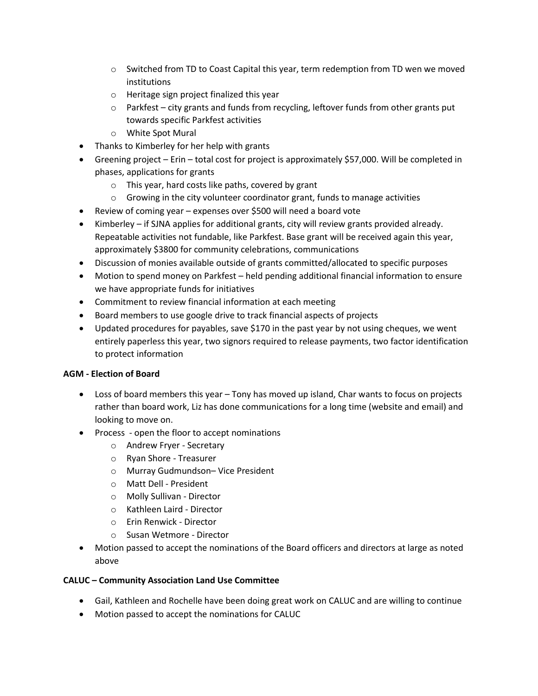- $\circ$  Switched from TD to Coast Capital this year, term redemption from TD wen we moved institutions
- o Heritage sign project finalized this year
- $\circ$  Parkfest city grants and funds from recycling, leftover funds from other grants put towards specific Parkfest activities
- o White Spot Mural
- Thanks to Kimberley for her help with grants
- Greening project Erin total cost for project is approximately \$57,000. Will be completed in phases, applications for grants
	- o This year, hard costs like paths, covered by grant
	- $\circ$  Growing in the city volunteer coordinator grant, funds to manage activities
- Review of coming year expenses over \$500 will need a board vote
- Kimberley if SJNA applies for additional grants, city will review grants provided already. Repeatable activities not fundable, like Parkfest. Base grant will be received again this year, approximately \$3800 for community celebrations, communications
- Discussion of monies available outside of grants committed/allocated to specific purposes
- Motion to spend money on Parkfest held pending additional financial information to ensure we have appropriate funds for initiatives
- Commitment to review financial information at each meeting
- Board members to use google drive to track financial aspects of projects
- Updated procedures for payables, save \$170 in the past year by not using cheques, we went entirely paperless this year, two signors required to release payments, two factor identification to protect information

# **AGM - Election of Board**

- Loss of board members this year Tony has moved up island, Char wants to focus on projects rather than board work, Liz has done communications for a long time (website and email) and looking to move on.
- Process open the floor to accept nominations
	- o Andrew Fryer Secretary
	- o Ryan Shore Treasurer
	- o Murray Gudmundson– Vice President
	- o Matt Dell President
	- o Molly Sullivan Director
	- o Kathleen Laird Director
	- o Erin Renwick Director
	- o Susan Wetmore Director
- Motion passed to accept the nominations of the Board officers and directors at large as noted above

# **CALUC – Community Association Land Use Committee**

- Gail, Kathleen and Rochelle have been doing great work on CALUC and are willing to continue
- Motion passed to accept the nominations for CALUC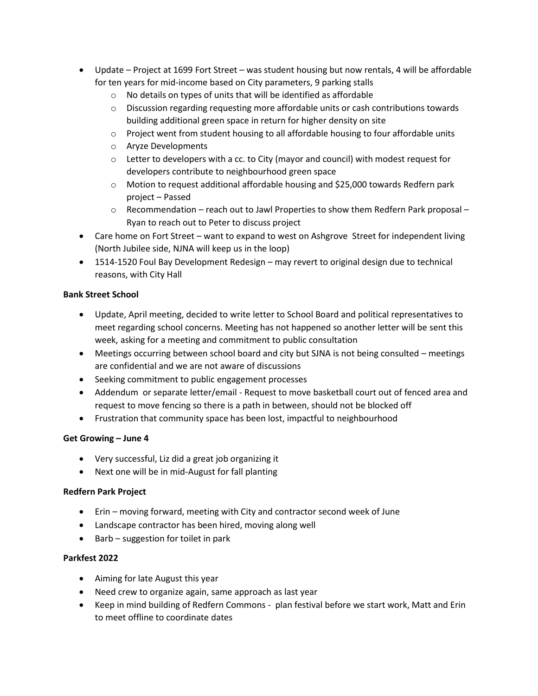- Update Project at 1699 Fort Street was student housing but now rentals, 4 will be affordable for ten years for mid-income based on City parameters, 9 parking stalls
	- $\circ$  No details on types of units that will be identified as affordable
	- $\circ$  Discussion regarding requesting more affordable units or cash contributions towards building additional green space in return for higher density on site
	- $\circ$  Project went from student housing to all affordable housing to four affordable units
	- o Aryze Developments
	- $\circ$  Letter to developers with a cc. to City (mayor and council) with modest request for developers contribute to neighbourhood green space
	- $\circ$  Motion to request additional affordable housing and \$25,000 towards Redfern park project – Passed
	- $\circ$  Recommendation reach out to Jawl Properties to show them Redfern Park proposal Ryan to reach out to Peter to discuss project
- Care home on Fort Street want to expand to west on Ashgrove Street for independent living (North Jubilee side, NJNA will keep us in the loop)
- 1514-1520 Foul Bay Development Redesign may revert to original design due to technical reasons, with City Hall

## **Bank Street School**

- Update, April meeting, decided to write letter to School Board and political representatives to meet regarding school concerns. Meeting has not happened so another letter will be sent this week, asking for a meeting and commitment to public consultation
- Meetings occurring between school board and city but SJNA is not being consulted meetings are confidential and we are not aware of discussions
- Seeking commitment to public engagement processes
- Addendum or separate letter/email Request to move basketball court out of fenced area and request to move fencing so there is a path in between, should not be blocked off
- Frustration that community space has been lost, impactful to neighbourhood

# **Get Growing – June 4**

- Very successful, Liz did a great job organizing it
- Next one will be in mid-August for fall planting

# **Redfern Park Project**

- Erin moving forward, meeting with City and contractor second week of June
- Landscape contractor has been hired, moving along well
- Barb suggestion for toilet in park

# **Parkfest 2022**

- Aiming for late August this year
- Need crew to organize again, same approach as last year
- Keep in mind building of Redfern Commons plan festival before we start work, Matt and Erin to meet offline to coordinate dates